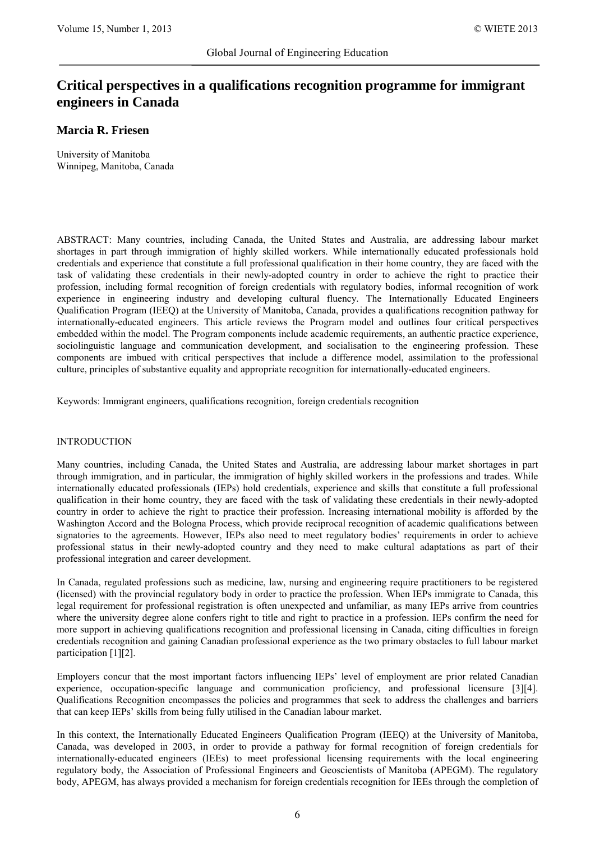# **Critical perspectives in a qualifications recognition programme for immigrant engineers in Canada**

# **Marcia R. Friesen**

University of Manitoba Winnipeg, Manitoba, Canada

ABSTRACT: Many countries, including Canada, the United States and Australia, are addressing labour market shortages in part through immigration of highly skilled workers. While internationally educated professionals hold credentials and experience that constitute a full professional qualification in their home country, they are faced with the task of validating these credentials in their newly-adopted country in order to achieve the right to practice their profession, including formal recognition of foreign credentials with regulatory bodies, informal recognition of work experience in engineering industry and developing cultural fluency. The Internationally Educated Engineers Qualification Program (IEEQ) at the University of Manitoba, Canada, provides a qualifications recognition pathway for internationally-educated engineers. This article reviews the Program model and outlines four critical perspectives embedded within the model. The Program components include academic requirements, an authentic practice experience, sociolinguistic language and communication development, and socialisation to the engineering profession. These components are imbued with critical perspectives that include a difference model, assimilation to the professional culture, principles of substantive equality and appropriate recognition for internationally-educated engineers.

Keywords: Immigrant engineers, qualifications recognition, foreign credentials recognition

# INTRODUCTION

Many countries, including Canada, the United States and Australia, are addressing labour market shortages in part through immigration, and in particular, the immigration of highly skilled workers in the professions and trades. While internationally educated professionals (IEPs) hold credentials, experience and skills that constitute a full professional qualification in their home country, they are faced with the task of validating these credentials in their newly-adopted country in order to achieve the right to practice their profession. Increasing international mobility is afforded by the Washington Accord and the Bologna Process, which provide reciprocal recognition of academic qualifications between signatories to the agreements. However, IEPs also need to meet regulatory bodies' requirements in order to achieve professional status in their newly-adopted country and they need to make cultural adaptations as part of their professional integration and career development.

In Canada, regulated professions such as medicine, law, nursing and engineering require practitioners to be registered (licensed) with the provincial regulatory body in order to practice the profession. When IEPs immigrate to Canada, this legal requirement for professional registration is often unexpected and unfamiliar, as many IEPs arrive from countries where the university degree alone confers right to title and right to practice in a profession. IEPs confirm the need for more support in achieving qualifications recognition and professional licensing in Canada, citing difficulties in foreign credentials recognition and gaining Canadian professional experience as the two primary obstacles to full labour market participation [\[1\]\[2\].](#page-5-0) 

Employers concur that the most important factors influencing IEPs' level of employment are prior related Canadian experience, occupation-specific language and communication proficiency, and professional licensure [\[3\]\[4\].](#page-5-1) Qualifications Recognition encompasses the policies and programmes that seek to address the challenges and barriers that can keep IEPs' skills from being fully utilised in the Canadian labour market.

In this context, the Internationally Educated Engineers Qualification Program (IEEQ) at the University of Manitoba, Canada, was developed in 2003, in order to provide a pathway for formal recognition of foreign credentials for internationally-educated engineers (IEEs) to meet professional licensing requirements with the local engineering regulatory body, the Association of Professional Engineers and Geoscientists of Manitoba (APEGM). The regulatory body, APEGM, has always provided a mechanism for foreign credentials recognition for IEEs through the completion of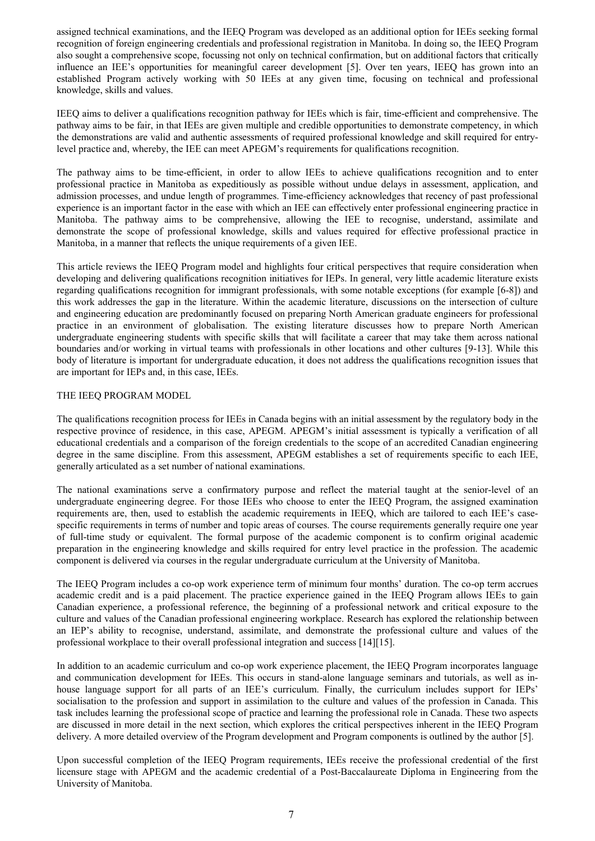assigned technical examinations, and the IEEQ Program was developed as an additional option for IEEs seeking formal recognition of foreign engineering credentials and professional registration in Manitoba. In doing so, the IEEQ Program also sought a comprehensive scope, focussing not only on technical confirmation, but on additional factors that critically influence an IEE's opportunities for meaningful career development [\[5\].](#page-5-2) Over ten years, IEEQ has grown into an established Program actively working with 50 IEEs at any given time, focusing on technical and professional knowledge, skills and values.

IEEQ aims to deliver a qualifications recognition pathway for IEEs which is fair, time-efficient and comprehensive. The pathway aims to be fair, in that IEEs are given multiple and credible opportunities to demonstrate competency, in which the demonstrations are valid and authentic assessments of required professional knowledge and skill required for entrylevel practice and, whereby, the IEE can meet APEGM's requirements for qualifications recognition.

The pathway aims to be time-efficient, in order to allow IEEs to achieve qualifications recognition and to enter professional practice in Manitoba as expeditiously as possible without undue delays in assessment, application, and admission processes, and undue length of programmes. Time-efficiency acknowledges that recency of past professional experience is an important factor in the ease with which an IEE can effectively enter professional engineering practice in Manitoba. The pathway aims to be comprehensive, allowing the IEE to recognise, understand, assimilate and demonstrate the scope of professional knowledge, skills and values required for effective professional practice in Manitoba, in a manner that reflects the unique requirements of a given IEE.

This article reviews the IEEQ Program model and highlights four critical perspectives that require consideration when developing and delivering qualifications recognition initiatives for IEPs. In general, very little academic literature exists regarding qualifications recognition for immigrant professionals, with some notable exceptions (for example [6[-8\]\)](#page-5-3) and this work addresses the gap in the literature. Within the academic literature, discussions on the intersection of culture and engineering education are predominantly focused on preparing North American graduate engineers for professional practice in an environment of globalisation. The existing literature discusses how to prepare North American undergraduate engineering students with specific skills that will facilitate a career that may take them across national boundaries and/or working in virtual teams with professionals in other locations and other cultures [9[-13\].](#page-5-4) While this body of literature is important for undergraduate education, it does not address the qualifications recognition issues that are important for IEPs and, in this case, IEEs.

# THE IEEQ PROGRAM MODEL

The qualifications recognition process for IEEs in Canada begins with an initial assessment by the regulatory body in the respective province of residence, in this case, APEGM. APEGM's initial assessment is typically a verification of all educational credentials and a comparison of the foreign credentials to the scope of an accredited Canadian engineering degree in the same discipline. From this assessment, APEGM establishes a set of requirements specific to each IEE, generally articulated as a set number of national examinations.

The national examinations serve a confirmatory purpose and reflect the material taught at the senior-level of an undergraduate engineering degree. For those IEEs who choose to enter the IEEQ Program, the assigned examination requirements are, then, used to establish the academic requirements in IEEQ, which are tailored to each IEE's casespecific requirements in terms of number and topic areas of courses. The course requirements generally require one year of full-time study or equivalent. The formal purpose of the academic component is to confirm original academic preparation in the engineering knowledge and skills required for entry level practice in the profession. The academic component is delivered via courses in the regular undergraduate curriculum at the University of Manitoba.

The IEEQ Program includes a co-op work experience term of minimum four months' duration. The co-op term accrues academic credit and is a paid placement. The practice experience gained in the IEEQ Program allows IEEs to gain Canadian experience, a professional reference, the beginning of a professional network and critical exposure to the culture and values of the Canadian professional engineering workplace. Research has explored the relationship between an IEP's ability to recognise, understand, assimilate, and demonstrate the professional culture and values of the professional workplace to their overall professional integration and success [\[14\]\[15\].](#page-5-5)

In addition to an academic curriculum and co-op work experience placement, the IEEQ Program incorporates language and communication development for IEEs. This occurs in stand-alone language seminars and tutorials, as well as inhouse language support for all parts of an IEE's curriculum. Finally, the curriculum includes support for IEPs' socialisation to the profession and support in assimilation to the culture and values of the profession in Canada. This task includes learning the professional scope of practice and learning the professional role in Canada. These two aspects are discussed in more detail in the next section, which explores the critical perspectives inherent in the IEEQ Program delivery. A more detailed overview of the Program development and Program components is outlined by the author [\[5\].](#page-5-2)

Upon successful completion of the IEEQ Program requirements, IEEs receive the professional credential of the first licensure stage with APEGM and the academic credential of a Post-Baccalaureate Diploma in Engineering from the University of Manitoba.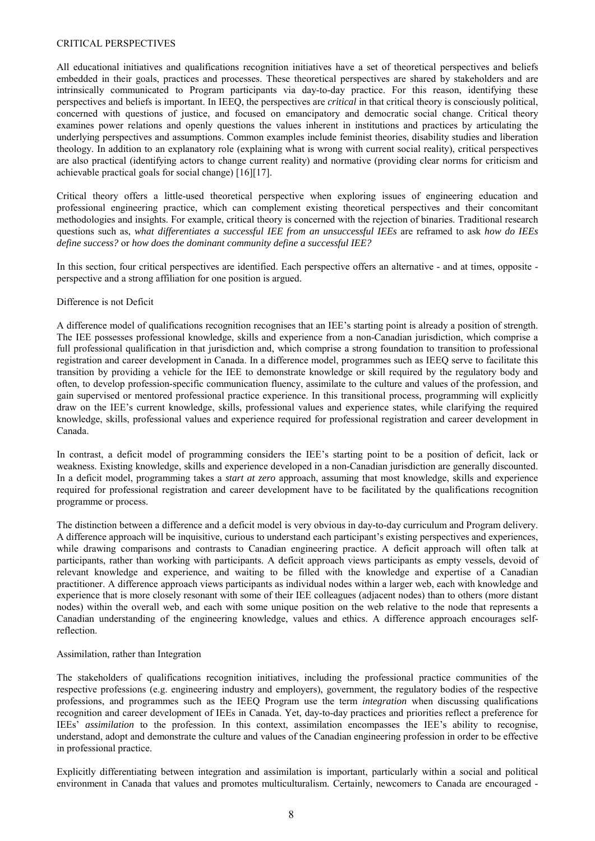#### CRITICAL PERSPECTIVES

All educational initiatives and qualifications recognition initiatives have a set of theoretical perspectives and beliefs embedded in their goals, practices and processes. These theoretical perspectives are shared by stakeholders and are intrinsically communicated to Program participants via day-to-day practice. For this reason, identifying these perspectives and beliefs is important. In IEEQ, the perspectives are *critical* in that critical theory is consciously political, concerned with questions of justice, and focused on emancipatory and democratic social change. Critical theory examines power relations and openly questions the values inherent in institutions and practices by articulating the underlying perspectives and assumptions. Common examples include feminist theories, disability studies and liberation theology. In addition to an explanatory role (explaining what is wrong with current social reality), critical perspectives are also practical (identifying actors to change current reality) and normative (providing clear norms for criticism and achievable practical goals for social change) [\[16\]\[17\].](#page-5-6)

Critical theory offers a little-used theoretical perspective when exploring issues of engineering education and professional engineering practice, which can complement existing theoretical perspectives and their concomitant methodologies and insights. For example, critical theory is concerned with the rejection of binaries. Traditional research questions such as, *what differentiates a successful IEE from an unsuccessful IEEs* are reframed to ask *how do IEEs define success?* or *how does the dominant community define a successful IEE?*

In this section, four critical perspectives are identified. Each perspective offers an alternative - and at times, opposite perspective and a strong affiliation for one position is argued.

#### Difference is not Deficit

A difference model of qualifications recognition recognises that an IEE's starting point is already a position of strength. The IEE possesses professional knowledge, skills and experience from a non-Canadian jurisdiction, which comprise a full professional qualification in that jurisdiction and, which comprise a strong foundation to transition to professional registration and career development in Canada. In a difference model, programmes such as IEEQ serve to facilitate this transition by providing a vehicle for the IEE to demonstrate knowledge or skill required by the regulatory body and often, to develop profession-specific communication fluency, assimilate to the culture and values of the profession, and gain supervised or mentored professional practice experience. In this transitional process, programming will explicitly draw on the IEE's current knowledge, skills, professional values and experience states, while clarifying the required knowledge, skills, professional values and experience required for professional registration and career development in Canada.

In contrast, a deficit model of programming considers the IEE's starting point to be a position of deficit, lack or weakness. Existing knowledge, skills and experience developed in a non-Canadian jurisdiction are generally discounted. In a deficit model, programming takes a *start at zero* approach, assuming that most knowledge, skills and experience required for professional registration and career development have to be facilitated by the qualifications recognition programme or process.

The distinction between a difference and a deficit model is very obvious in day-to-day curriculum and Program delivery. A difference approach will be inquisitive, curious to understand each participant's existing perspectives and experiences, while drawing comparisons and contrasts to Canadian engineering practice. A deficit approach will often talk at participants, rather than working with participants. A deficit approach views participants as empty vessels, devoid of relevant knowledge and experience, and waiting to be filled with the knowledge and expertise of a Canadian practitioner. A difference approach views participants as individual nodes within a larger web, each with knowledge and experience that is more closely resonant with some of their IEE colleagues (adjacent nodes) than to others (more distant nodes) within the overall web, and each with some unique position on the web relative to the node that represents a Canadian understanding of the engineering knowledge, values and ethics. A difference approach encourages selfreflection.

# Assimilation, rather than Integration

The stakeholders of qualifications recognition initiatives, including the professional practice communities of the respective professions (e.g. engineering industry and employers), government, the regulatory bodies of the respective professions, and programmes such as the IEEQ Program use the term *integration* when discussing qualifications recognition and career development of IEEs in Canada. Yet, day-to-day practices and priorities reflect a preference for IEEs' *assimilation* to the profession. In this context, assimilation encompasses the IEE's ability to recognise, understand, adopt and demonstrate the culture and values of the Canadian engineering profession in order to be effective in professional practice.

Explicitly differentiating between integration and assimilation is important, particularly within a social and political environment in Canada that values and promotes multiculturalism. Certainly, newcomers to Canada are encouraged -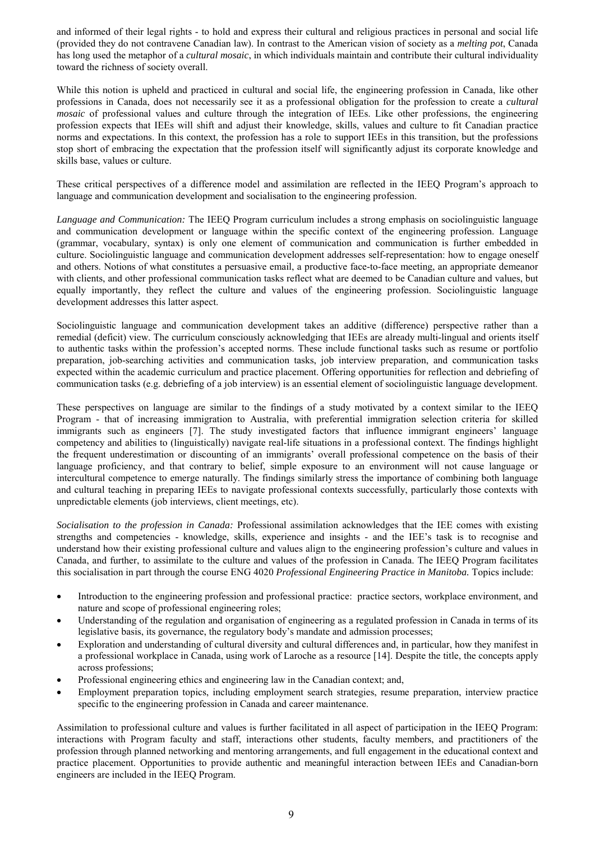and informed of their legal rights - to hold and express their cultural and religious practices in personal and social life (provided they do not contravene Canadian law). In contrast to the American vision of society as a *melting pot*, Canada has long used the metaphor of a *cultural mosaic*, in which individuals maintain and contribute their cultural individuality toward the richness of society overall.

While this notion is upheld and practiced in cultural and social life, the engineering profession in Canada, like other professions in Canada, does not necessarily see it as a professional obligation for the profession to create a *cultural mosaic* of professional values and culture through the integration of IEEs. Like other professions, the engineering profession expects that IEEs will shift and adjust their knowledge, skills, values and culture to fit Canadian practice norms and expectations. In this context, the profession has a role to support IEEs in this transition, but the professions stop short of embracing the expectation that the profession itself will significantly adjust its corporate knowledge and skills base, values or culture.

These critical perspectives of a difference model and assimilation are reflected in the IEEQ Program's approach to language and communication development and socialisation to the engineering profession.

*Language and Communication:* The IEEQ Program curriculum includes a strong emphasis on sociolinguistic language and communication development or language within the specific context of the engineering profession. Language (grammar, vocabulary, syntax) is only one element of communication and communication is further embedded in culture. Sociolinguistic language and communication development addresses self-representation: how to engage oneself and others. Notions of what constitutes a persuasive email, a productive face-to-face meeting, an appropriate demeanor with clients, and other professional communication tasks reflect what are deemed to be Canadian culture and values, but equally importantly, they reflect the culture and values of the engineering profession. Sociolinguistic language development addresses this latter aspect.

Sociolinguistic language and communication development takes an additive (difference) perspective rather than a remedial (deficit) view. The curriculum consciously acknowledging that IEEs are already multi-lingual and orients itself to authentic tasks within the profession's accepted norms. These include functional tasks such as resume or portfolio preparation, job-searching activities and communication tasks, job interview preparation, and communication tasks expected within the academic curriculum and practice placement. Offering opportunities for reflection and debriefing of communication tasks (e.g. debriefing of a job interview) is an essential element of sociolinguistic language development.

These perspectives on language are similar to the findings of a study motivated by a context similar to the IEEQ Program - that of increasing immigration to Australia, with preferential immigration selection criteria for skilled immigrants such as engineers [\[7\].](#page-5-7) The study investigated factors that influence immigrant engineers' language competency and abilities to (linguistically) navigate real-life situations in a professional context. The findings highlight the frequent underestimation or discounting of an immigrants' overall professional competence on the basis of their language proficiency, and that contrary to belief, simple exposure to an environment will not cause language or intercultural competence to emerge naturally. The findings similarly stress the importance of combining both language and cultural teaching in preparing IEEs to navigate professional contexts successfully, particularly those contexts with unpredictable elements (job interviews, client meetings, etc).

*Socialisation to the profession in Canada:* Professional assimilation acknowledges that the IEE comes with existing strengths and competencies - knowledge, skills, experience and insights - and the IEE's task is to recognise and understand how their existing professional culture and values align to the engineering profession's culture and values in Canada, and further, to assimilate to the culture and values of the profession in Canada. The IEEQ Program facilitates this socialisation in part through the course ENG 4020 *Professional Engineering Practice in Manitoba.* Topics include:

- Introduction to the engineering profession and professional practice: practice sectors, workplace environment, and nature and scope of professional engineering roles;
- Understanding of the regulation and organisation of engineering as a regulated profession in Canada in terms of its legislative basis, its governance, the regulatory body's mandate and admission processes;
- Exploration and understanding of cultural diversity and cultural differences and, in particular, how they manifest in a professional workplace in Canada, using work of Laroche as a resource [\[14\].](#page-5-5) Despite the title, the concepts apply across professions;
- Professional engineering ethics and engineering law in the Canadian context; and,
- Employment preparation topics, including employment search strategies, resume preparation, interview practice specific to the engineering profession in Canada and career maintenance.

Assimilation to professional culture and values is further facilitated in all aspect of participation in the IEEQ Program: interactions with Program faculty and staff, interactions other students, faculty members, and practitioners of the profession through planned networking and mentoring arrangements, and full engagement in the educational context and practice placement. Opportunities to provide authentic and meaningful interaction between IEEs and Canadian-born engineers are included in the IEEQ Program.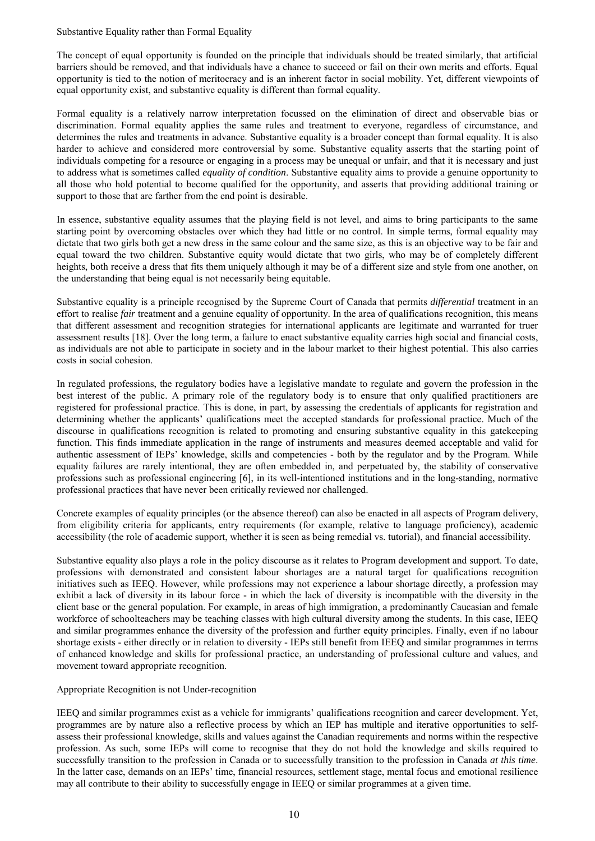Substantive Equality rather than Formal Equality

The concept of equal opportunity is founded on the principle that individuals should be treated similarly, that artificial barriers should be removed, and that individuals have a chance to succeed or fail on their own merits and efforts. Equal opportunity is tied to the notion of meritocracy and is an inherent factor in social mobility. Yet, different viewpoints of equal opportunity exist, and substantive equality is different than formal equality.

Formal equality is a relatively narrow interpretation focussed on the elimination of direct and observable bias or discrimination. Formal equality applies the same rules and treatment to everyone, regardless of circumstance, and determines the rules and treatments in advance. Substantive equality is a broader concept than formal equality. It is also harder to achieve and considered more controversial by some. Substantive equality asserts that the starting point of individuals competing for a resource or engaging in a process may be unequal or unfair, and that it is necessary and just to address what is sometimes called *equality of condition*. Substantive equality aims to provide a genuine opportunity to all those who hold potential to become qualified for the opportunity, and asserts that providing additional training or support to those that are farther from the end point is desirable.

In essence, substantive equality assumes that the playing field is not level, and aims to bring participants to the same starting point by overcoming obstacles over which they had little or no control. In simple terms, formal equality may dictate that two girls both get a new dress in the same colour and the same size, as this is an objective way to be fair and equal toward the two children. Substantive equity would dictate that two girls, who may be of completely different heights, both receive a dress that fits them uniquely although it may be of a different size and style from one another, on the understanding that being equal is not necessarily being equitable.

Substantive equality is a principle recognised by the Supreme Court of Canada that permits *differential* treatment in an effort to realise *fair* treatment and a genuine equality of opportunity. In the area of qualifications recognition, this means that different assessment and recognition strategies for international applicants are legitimate and warranted for truer assessment results [\[18\].](#page-6-0) Over the long term, a failure to enact substantive equality carries high social and financial costs, as individuals are not able to participate in society and in the labour market to their highest potential. This also carries costs in social cohesion.

In regulated professions, the regulatory bodies have a legislative mandate to regulate and govern the profession in the best interest of the public. A primary role of the regulatory body is to ensure that only qualified practitioners are registered for professional practice. This is done, in part, by assessing the credentials of applicants for registration and determining whether the applicants' qualifications meet the accepted standards for professional practice. Much of the discourse in qualifications recognition is related to promoting and ensuring substantive equality in this gatekeeping function. This finds immediate application in the range of instruments and measures deemed acceptable and valid for authentic assessment of IEPs' knowledge, skills and competencies - both by the regulator and by the Program. While equality failures are rarely intentional, they are often embedded in, and perpetuated by, the stability of conservative professions such as professional engineering [\[6\],](#page-5-8) in its well-intentioned institutions and in the long-standing, normative professional practices that have never been critically reviewed nor challenged.

Concrete examples of equality principles (or the absence thereof) can also be enacted in all aspects of Program delivery, from eligibility criteria for applicants, entry requirements (for example, relative to language proficiency), academic accessibility (the role of academic support, whether it is seen as being remedial vs. tutorial), and financial accessibility.

Substantive equality also plays a role in the policy discourse as it relates to Program development and support. To date, professions with demonstrated and consistent labour shortages are a natural target for qualifications recognition initiatives such as IEEQ. However, while professions may not experience a labour shortage directly, a profession may exhibit a lack of diversity in its labour force - in which the lack of diversity is incompatible with the diversity in the client base or the general population. For example, in areas of high immigration, a predominantly Caucasian and female workforce of schoolteachers may be teaching classes with high cultural diversity among the students. In this case, IEEQ and similar programmes enhance the diversity of the profession and further equity principles. Finally, even if no labour shortage exists - either directly or in relation to diversity - IEPs still benefit from IEEQ and similar programmes in terms of enhanced knowledge and skills for professional practice, an understanding of professional culture and values, and movement toward appropriate recognition.

Appropriate Recognition is not Under-recognition

IEEQ and similar programmes exist as a vehicle for immigrants' qualifications recognition and career development. Yet, programmes are by nature also a reflective process by which an IEP has multiple and iterative opportunities to selfassess their professional knowledge, skills and values against the Canadian requirements and norms within the respective profession. As such, some IEPs will come to recognise that they do not hold the knowledge and skills required to successfully transition to the profession in Canada or to successfully transition to the profession in Canada *at this time*. In the latter case, demands on an IEPs' time, financial resources, settlement stage, mental focus and emotional resilience may all contribute to their ability to successfully engage in IEEQ or similar programmes at a given time.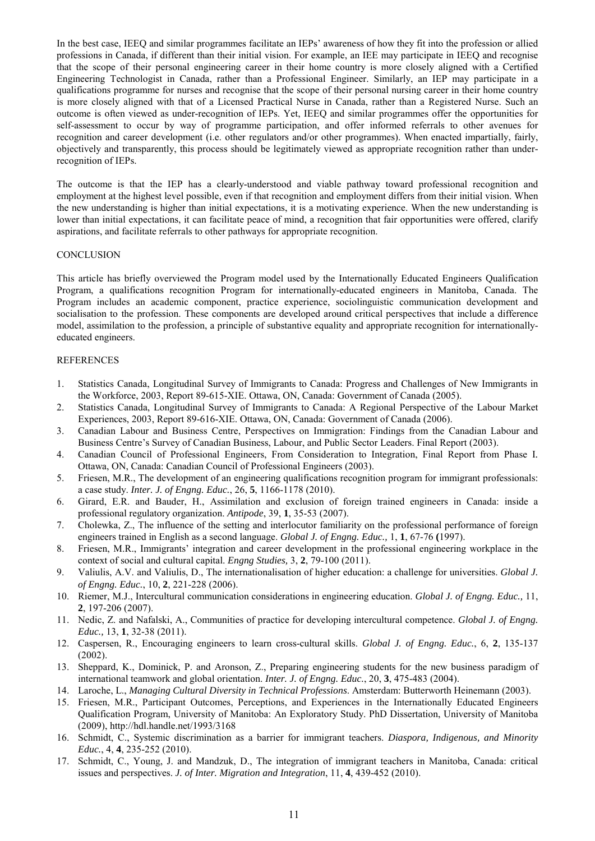In the best case, IEEQ and similar programmes facilitate an IEPs' awareness of how they fit into the profession or allied professions in Canada, if different than their initial vision. For example, an IEE may participate in IEEQ and recognise that the scope of their personal engineering career in their home country is more closely aligned with a Certified Engineering Technologist in Canada, rather than a Professional Engineer. Similarly, an IEP may participate in a qualifications programme for nurses and recognise that the scope of their personal nursing career in their home country is more closely aligned with that of a Licensed Practical Nurse in Canada, rather than a Registered Nurse. Such an outcome is often viewed as under-recognition of IEPs. Yet, IEEQ and similar programmes offer the opportunities for self-assessment to occur by way of programme participation, and offer informed referrals to other avenues for recognition and career development (i.e. other regulators and/or other programmes). When enacted impartially, fairly, objectively and transparently, this process should be legitimately viewed as appropriate recognition rather than underrecognition of IEPs.

The outcome is that the IEP has a clearly-understood and viable pathway toward professional recognition and employment at the highest level possible, even if that recognition and employment differs from their initial vision. When the new understanding is higher than initial expectations, it is a motivating experience. When the new understanding is lower than initial expectations, it can facilitate peace of mind, a recognition that fair opportunities were offered, clarify aspirations, and facilitate referrals to other pathways for appropriate recognition.

#### **CONCLUSION**

This article has briefly overviewed the Program model used by the Internationally Educated Engineers Qualification Program, a qualifications recognition Program for internationally-educated engineers in Manitoba, Canada. The Program includes an academic component, practice experience, sociolinguistic communication development and socialisation to the profession. These components are developed around critical perspectives that include a difference model, assimilation to the profession, a principle of substantive equality and appropriate recognition for internationallyeducated engineers.

#### REFERENCES

- <span id="page-5-0"></span>1. Statistics Canada, Longitudinal Survey of Immigrants to Canada: Progress and Challenges of New Immigrants in the Workforce, 2003, Report 89-615-XIE. Ottawa, ON, Canada: Government of Canada (2005).
- 2. Statistics Canada, Longitudinal Survey of Immigrants to Canada: A Regional Perspective of the Labour Market Experiences, 2003, Report 89-616-XIE. Ottawa, ON, Canada: Government of Canada (2006).
- <span id="page-5-1"></span>3. Canadian Labour and Business Centre, Perspectives on Immigration: Findings from the Canadian Labour and Business Centre's Survey of Canadian Business, Labour, and Public Sector Leaders. Final Report (2003).
- 4. Canadian Council of Professional Engineers, From Consideration to Integration, Final Report from Phase I*.*  Ottawa, ON, Canada: Canadian Council of Professional Engineers (2003).
- <span id="page-5-2"></span>5. Friesen, M.R., The development of an engineering qualifications recognition program for immigrant professionals: a case study. *Inter. J. of Engng. Educ.*, 26, **5**, 1166-1178 (2010).
- <span id="page-5-8"></span>6. Girard, E.R. and Bauder, H., Assimilation and exclusion of foreign trained engineers in Canada: inside a professional regulatory organization. *Antipode*, 39, **1**, 35-53 (2007).
- <span id="page-5-7"></span>7. Cholewka, Z., The influence of the setting and interlocutor familiarity on the professional performance of foreign engineers trained in English as a second language. *Global J. of Engng. Educ.,* 1, **1**, 67-76 **(**1997).
- <span id="page-5-3"></span>8. Friesen, M.R., Immigrants' integration and career development in the professional engineering workplace in the context of social and cultural capital. *Engng Studies,* 3, **2**, 79-100 (2011).
- 9. Valiulis, A.V. and Valiulis, D., The internationalisation of higher education: a challenge for universities. *Global J. of Engng. Educ.*, 10, **2**, 221-228 (2006).
- 10. Riemer, M.J., Intercultural communication considerations in engineering education. *Global J. of Engng. Educ.,* 11, **2**, 197-206 (2007).
- 11. Nedic, Z. and Nafalski, A., Communities of practice for developing intercultural competence. *Global J. of Engng. Educ.,* 13, **1**, 32-38 (2011).
- 12. Caspersen, R., Encouraging engineers to learn cross-cultural skills. *Global J. of Engng. Educ.*, 6, **2**, 135-137 (2002).
- <span id="page-5-4"></span>13. Sheppard, K., Dominick, P. and Aronson, Z., Preparing engineering students for the new business paradigm of international teamwork and global orientation. *Inter. J. of Engng. Educ.*, 20, **3**, 475-483 (2004).
- <span id="page-5-5"></span>14. Laroche, L., *Managing Cultural Diversity in Technical Professions*. Amsterdam: Butterworth Heinemann (2003).
- 15. Friesen, M.R., Participant Outcomes, Perceptions, and Experiences in the Internationally Educated Engineers Qualification Program, University of Manitoba: An Exploratory Study. PhD Dissertation, University of Manitoba (2009), http://hdl.handle.net/1993/3168
- <span id="page-5-6"></span>16. Schmidt, C., Systemic discrimination as a barrier for immigrant teachers. *Diaspora, Indigenous, and Minority Educ.*, 4, **4**, 235-252 (2010).
- 17. Schmidt, C., Young, J. and Mandzuk, D., The integration of immigrant teachers in Manitoba, Canada: critical issues and perspectives. *J. of Inter. Migration and Integration*, 11, **4**, 439-452 (2010).